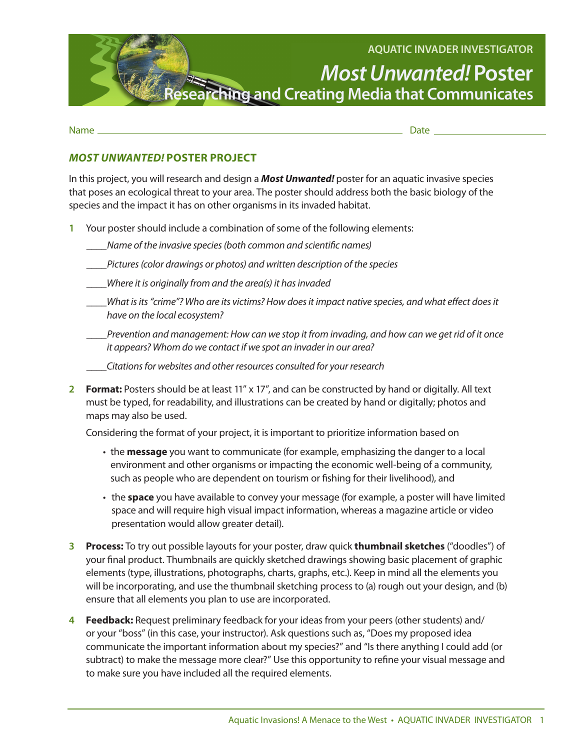

Name Date

## *MOST UNWANTED!* **POSTER PROJECT**

In this project, you will research and design a *Most Unwanted!* poster for an aquatic invasive species that poses an ecological threat to your area. The poster should address both the basic biology of the species and the impact it has on other organisms in its invaded habitat.

- **1** Your poster should include a combination of some of the following elements:
	- *\_\_\_\_Name of the invasive species (both common and scientific names)*
	- *\_\_\_\_Pictures (color drawings or photos) and written description of the species*
	- *\_\_\_\_Where it is originally from and the area(s) it has invaded*
	- *\_\_\_\_What is its "crime"? Who are its victims? How does it impact native species, and what effect does it have on the local ecosystem?*
	- *\_\_\_\_Prevention and management: How can we stop it from invading, and how can we get rid of it once it appears? Whom do we contact if we spot an invader in our area?*
	- *\_\_\_\_Citations for websites and other resources consulted for your research*
- **2 Format:** Posters should be at least 11" x 17", and can be constructed by hand or digitally. All text must be typed, for readability, and illustrations can be created by hand or digitally; photos and maps may also be used.

Considering the format of your project, it is important to prioritize information based on

- the **message** you want to communicate (for example, emphasizing the danger to a local environment and other organisms or impacting the economic well-being of a community, such as people who are dependent on tourism or fishing for their livelihood), and
- the **space** you have available to convey your message (for example, a poster will have limited space and will require high visual impact information, whereas a magazine article or video presentation would allow greater detail).
- **3 Process:** To try out possible layouts for your poster, draw quick **thumbnail sketches** ("doodles") of your final product. Thumbnails are quickly sketched drawings showing basic placement of graphic elements (type, illustrations, photographs, charts, graphs, etc.). Keep in mind all the elements you will be incorporating, and use the thumbnail sketching process to (a) rough out your design, and (b) ensure that all elements you plan to use are incorporated.
- **4 Feedback:** Request preliminary feedback for your ideas from your peers (other students) and/ or your "boss" (in this case, your instructor). Ask questions such as, "Does my proposed idea communicate the important information about my species?" and "Is there anything I could add (or subtract) to make the message more clear?" Use this opportunity to refine your visual message and to make sure you have included all the required elements.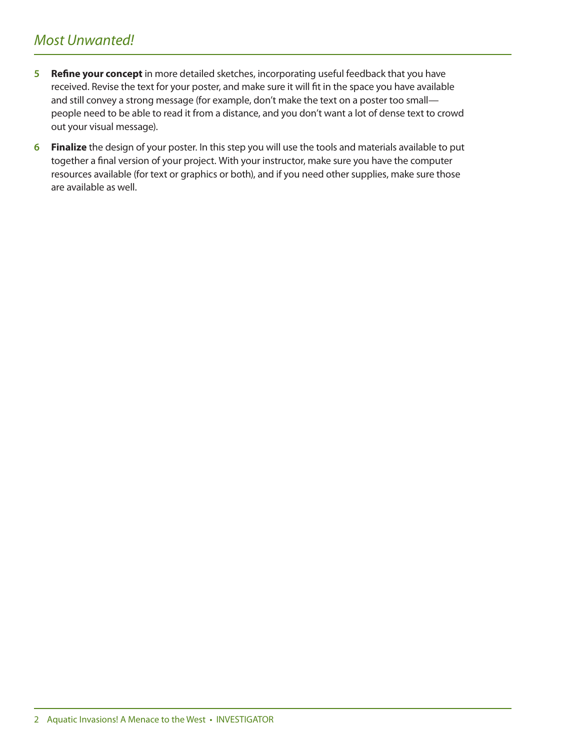## *Most Unwanted!*

- **5 Refine your concept** in more detailed sketches, incorporating useful feedback that you have received. Revise the text for your poster, and make sure it will fit in the space you have available and still convey a strong message (for example, don't make the text on a poster too small people need to be able to read it from a distance, and you don't want a lot of dense text to crowd out your visual message).
- **6 Finalize** the design of your poster. In this step you will use the tools and materials available to put together a final version of your project. With your instructor, make sure you have the computer resources available (for text or graphics or both), and if you need other supplies, make sure those are available as well.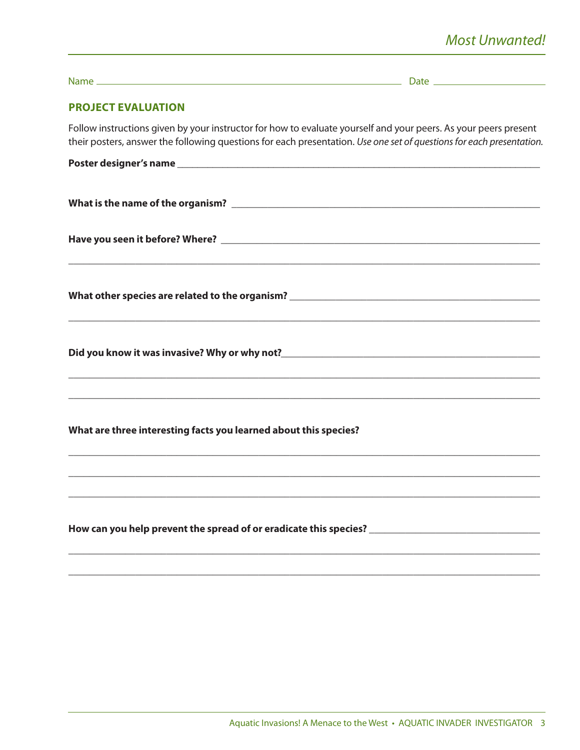| <b>PROJECT EVALUATION</b>                                                                                                                                                                                                               |  |
|-----------------------------------------------------------------------------------------------------------------------------------------------------------------------------------------------------------------------------------------|--|
| Follow instructions given by your instructor for how to evaluate yourself and your peers. As your peers present<br>their posters, answer the following questions for each presentation. Use one set of questions for each presentation. |  |
|                                                                                                                                                                                                                                         |  |
|                                                                                                                                                                                                                                         |  |
|                                                                                                                                                                                                                                         |  |
|                                                                                                                                                                                                                                         |  |
|                                                                                                                                                                                                                                         |  |
| <u> 1989 - Andrea Santa Andrea Santa Andrea Santa Andrea Santa Andrea Santa Andrea Santa Andrea Santa Andrea San</u><br>What are three interesting facts you learned about this species?                                                |  |
| How can you help prevent the spread of or eradicate this species? __________________________________                                                                                                                                    |  |

\_\_\_\_\_\_\_\_\_\_\_\_\_\_\_\_\_\_\_\_\_\_\_\_\_\_\_\_\_\_\_\_\_\_\_\_\_\_\_\_\_\_\_\_\_\_\_\_\_\_\_\_\_\_\_\_\_\_\_\_\_\_\_\_\_\_\_\_\_\_\_\_\_\_\_\_\_\_\_\_\_\_\_\_\_\_\_\_\_\_\_\_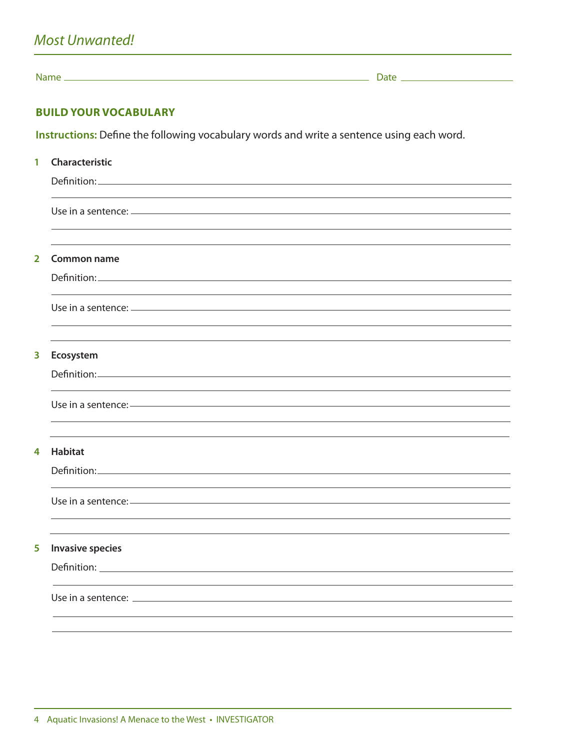Name Date

## **BUILD YOUR VOCABULARY**

**Instructions:** Define the following vocabulary words and write a sentence using each word.

| 1              | Characteristic                                                                                                           |
|----------------|--------------------------------------------------------------------------------------------------------------------------|
|                |                                                                                                                          |
|                |                                                                                                                          |
|                |                                                                                                                          |
|                |                                                                                                                          |
| $\overline{2}$ | <b>Common name</b>                                                                                                       |
|                |                                                                                                                          |
|                |                                                                                                                          |
|                | Use in a sentence: <u>example and a sentence</u> and a sense of the sense of the sense of the sense of the sense of the  |
|                |                                                                                                                          |
| 3              | Ecosystem                                                                                                                |
|                | Definition: Definition:                                                                                                  |
|                |                                                                                                                          |
|                | Use in a sentence: <u>and the sense of the sense of the sense of the sense of the sense of the sense of the sense of</u> |
|                |                                                                                                                          |
|                |                                                                                                                          |
| 4              | <b>Habitat</b>                                                                                                           |
|                |                                                                                                                          |
|                |                                                                                                                          |
|                |                                                                                                                          |
|                |                                                                                                                          |
| 5              | <b>Invasive species</b>                                                                                                  |
|                |                                                                                                                          |
|                |                                                                                                                          |
|                |                                                                                                                          |
|                |                                                                                                                          |
|                |                                                                                                                          |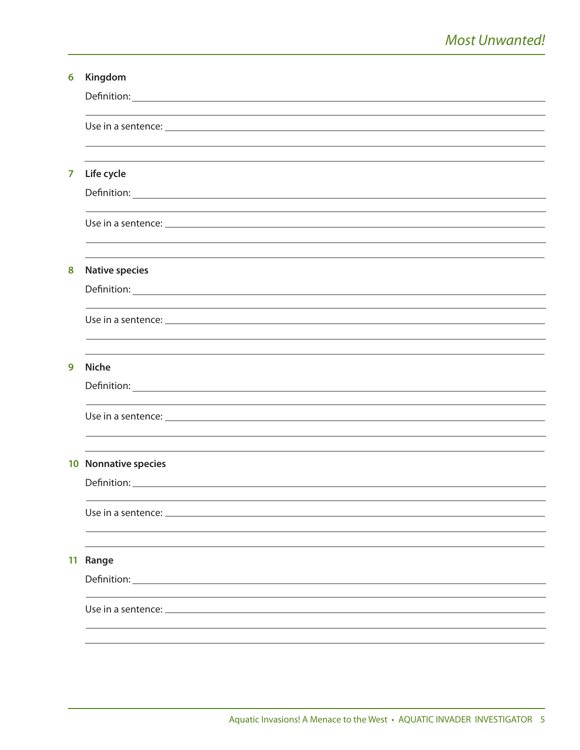| 6              | Kingdom               |
|----------------|-----------------------|
|                |                       |
|                |                       |
|                |                       |
|                |                       |
| $\overline{7}$ | Life cycle            |
|                |                       |
|                |                       |
|                |                       |
|                |                       |
| 8              | <b>Native species</b> |
|                |                       |
|                |                       |
|                |                       |
| 9              | <b>Niche</b>          |
|                |                       |
|                |                       |
|                |                       |
|                |                       |
|                | 10 Nonnative species  |
|                | Definition:           |
|                |                       |
|                |                       |
|                |                       |
|                | 11 Range              |
|                |                       |
|                |                       |
|                |                       |
|                |                       |